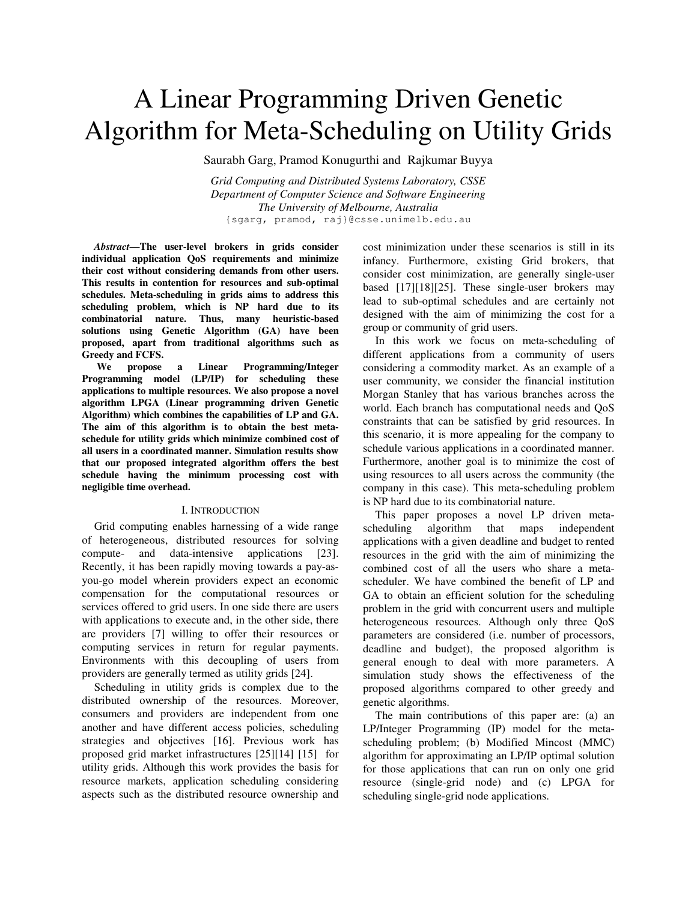# A Linear Programming Driven Genetic Algorithm for Meta-Scheduling on Utility Grids

Saurabh Garg, Pramod Konugurthi and Rajkumar Buyya

*Grid Computing and Distributed Systems Laboratory, CSSE Department of Computer Science and Software Engineering The University of Melbourne, Australia*  {sgarg, pramod, raj}@csse.unimelb.edu.au

*Abstract***—The user-level brokers in grids consider individual application QoS requirements and minimize their cost without considering demands from other users. This results in contention for resources and sub-optimal schedules. Meta-scheduling in grids aims to address this scheduling problem, which is NP hard due to its combinatorial nature. Thus, many heuristic-based solutions using Genetic Algorithm (GA) have been proposed, apart from traditional algorithms such as Greedy and FCFS.** 

 **We propose a Linear Programming/Integer Programming model (LP/IP) for scheduling these applications to multiple resources. We also propose a novel algorithm LPGA (Linear programming driven Genetic Algorithm) which combines the capabilities of LP and GA. The aim of this algorithm is to obtain the best metaschedule for utility grids which minimize combined cost of all users in a coordinated manner. Simulation results show that our proposed integrated algorithm offers the best schedule having the minimum processing cost with negligible time overhead.** 

### I. INTRODUCTION

Grid computing enables harnessing of a wide range of heterogeneous, distributed resources for solving compute- and data-intensive applications [23]. Recently, it has been rapidly moving towards a pay-asyou-go model wherein providers expect an economic compensation for the computational resources or services offered to grid users. In one side there are users with applications to execute and, in the other side, there are providers [7] willing to offer their resources or computing services in return for regular payments. Environments with this decoupling of users from providers are generally termed as utility grids [24].

Scheduling in utility grids is complex due to the distributed ownership of the resources. Moreover, consumers and providers are independent from one another and have different access policies, scheduling strategies and objectives [16]. Previous work has proposed grid market infrastructures [25][14] [15] for utility grids. Although this work provides the basis for resource markets, application scheduling considering aspects such as the distributed resource ownership and cost minimization under these scenarios is still in its infancy. Furthermore, existing Grid brokers, that consider cost minimization, are generally single-user based [17][18][25]. These single-user brokers may lead to sub-optimal schedules and are certainly not designed with the aim of minimizing the cost for a group or community of grid users.

In this work we focus on meta-scheduling of different applications from a community of users considering a commodity market. As an example of a user community, we consider the financial institution Morgan Stanley that has various branches across the world. Each branch has computational needs and QoS constraints that can be satisfied by grid resources. In this scenario, it is more appealing for the company to schedule various applications in a coordinated manner. Furthermore, another goal is to minimize the cost of using resources to all users across the community (the company in this case). This meta-scheduling problem is NP hard due to its combinatorial nature.

This paper proposes a novel LP driven metascheduling algorithm that maps independent applications with a given deadline and budget to rented resources in the grid with the aim of minimizing the combined cost of all the users who share a metascheduler. We have combined the benefit of LP and GA to obtain an efficient solution for the scheduling problem in the grid with concurrent users and multiple heterogeneous resources. Although only three QoS parameters are considered (i.e. number of processors, deadline and budget), the proposed algorithm is general enough to deal with more parameters. A simulation study shows the effectiveness of the proposed algorithms compared to other greedy and genetic algorithms.

The main contributions of this paper are: (a) an LP/Integer Programming (IP) model for the metascheduling problem; (b) Modified Mincost (MMC) algorithm for approximating an LP/IP optimal solution for those applications that can run on only one grid resource (single-grid node) and (c) LPGA for scheduling single-grid node applications.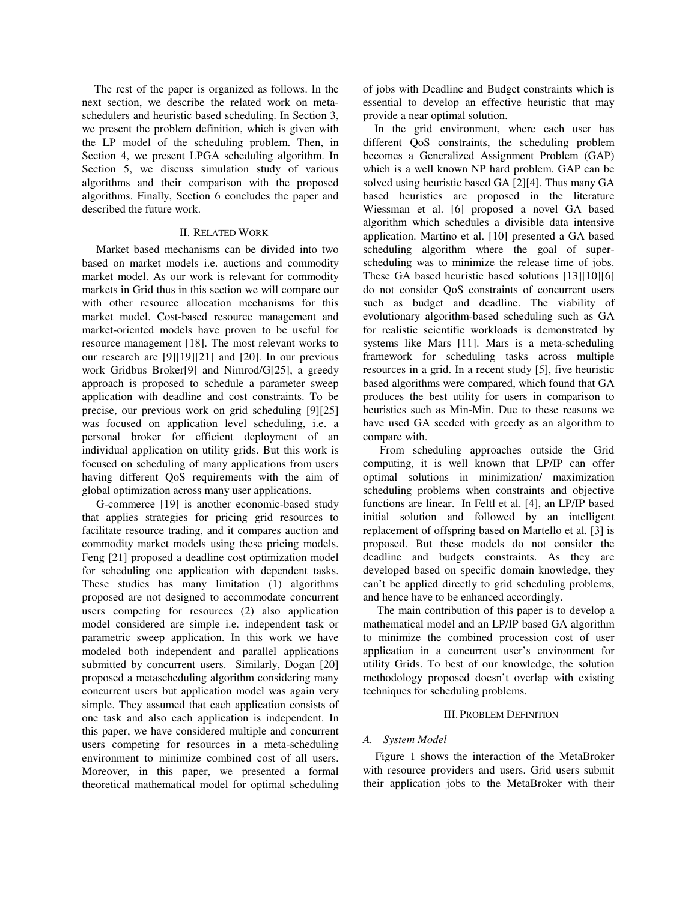The rest of the paper is organized as follows. In the next section, we describe the related work on metaschedulers and heuristic based scheduling. In Section 3, we present the problem definition, which is given with the LP model of the scheduling problem. Then, in Section 4, we present LPGA scheduling algorithm. In Section 5, we discuss simulation study of various algorithms and their comparison with the proposed algorithms. Finally, Section 6 concludes the paper and described the future work.

## II. RELATED WORK

 Market based mechanisms can be divided into two based on market models i.e. auctions and commodity market model. As our work is relevant for commodity markets in Grid thus in this section we will compare our with other resource allocation mechanisms for this market model. Cost-based resource management and market-oriented models have proven to be useful for resource management [18]. The most relevant works to our research are [9][19][21] and [20]. In our previous work Gridbus Broker[9] and Nimrod/G[25], a greedy approach is proposed to schedule a parameter sweep application with deadline and cost constraints. To be precise, our previous work on grid scheduling [9][25] was focused on application level scheduling, i.e. a personal broker for efficient deployment of an individual application on utility grids. But this work is focused on scheduling of many applications from users having different QoS requirements with the aim of global optimization across many user applications.

 G-commerce [19] is another economic-based study that applies strategies for pricing grid resources to facilitate resource trading, and it compares auction and commodity market models using these pricing models. Feng [21] proposed a deadline cost optimization model for scheduling one application with dependent tasks. These studies has many limitation (1) algorithms proposed are not designed to accommodate concurrent users competing for resources (2) also application model considered are simple i.e. independent task or parametric sweep application. In this work we have modeled both independent and parallel applications submitted by concurrent users. Similarly, Dogan [20] proposed a metascheduling algorithm considering many concurrent users but application model was again very simple. They assumed that each application consists of one task and also each application is independent. In this paper, we have considered multiple and concurrent users competing for resources in a meta-scheduling environment to minimize combined cost of all users. Moreover, in this paper, we presented a formal theoretical mathematical model for optimal scheduling of jobs with Deadline and Budget constraints which is essential to develop an effective heuristic that may provide a near optimal solution.

 In the grid environment, where each user has different QoS constraints, the scheduling problem becomes a Generalized Assignment Problem (GAP) which is a well known NP hard problem. GAP can be solved using heuristic based GA [2][4]. Thus many GA based heuristics are proposed in the literature Wiessman et al. [6] proposed a novel GA based algorithm which schedules a divisible data intensive application. Martino et al. [10] presented a GA based scheduling algorithm where the goal of superscheduling was to minimize the release time of jobs. These GA based heuristic based solutions [13][10][6] do not consider QoS constraints of concurrent users such as budget and deadline. The viability of evolutionary algorithm-based scheduling such as GA for realistic scientific workloads is demonstrated by systems like Mars [11]. Mars is a meta-scheduling framework for scheduling tasks across multiple resources in a grid. In a recent study [5], five heuristic based algorithms were compared, which found that GA produces the best utility for users in comparison to heuristics such as Min-Min. Due to these reasons we have used GA seeded with greedy as an algorithm to compare with.

 From scheduling approaches outside the Grid computing, it is well known that LP/IP can offer optimal solutions in minimization/ maximization scheduling problems when constraints and objective functions are linear. In Feltl et al. [4], an LP/IP based initial solution and followed by an intelligent replacement of offspring based on Martello et al. [3] is proposed. But these models do not consider the deadline and budgets constraints. As they are developed based on specific domain knowledge, they can't be applied directly to grid scheduling problems, and hence have to be enhanced accordingly.

The main contribution of this paper is to develop a mathematical model and an LP/IP based GA algorithm to minimize the combined procession cost of user application in a concurrent user's environment for utility Grids. To best of our knowledge, the solution methodology proposed doesn't overlap with existing techniques for scheduling problems.

## III.PROBLEM DEFINITION

## *A. System Model*

Figure 1 shows the interaction of the MetaBroker with resource providers and users. Grid users submit their application jobs to the MetaBroker with their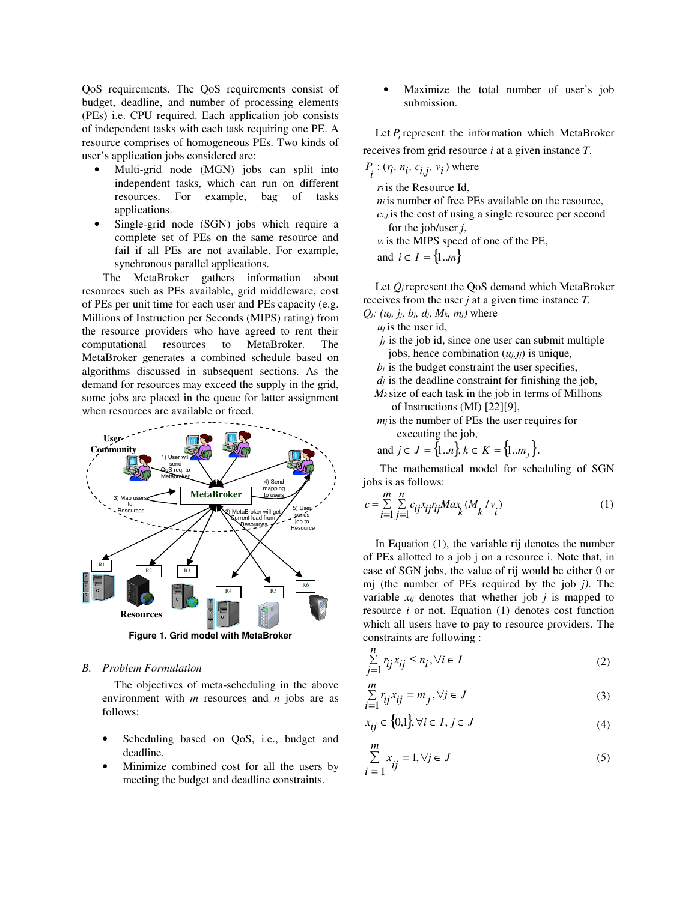QoS requirements. The QoS requirements consist of budget, deadline, and number of processing elements (PEs) i.e. CPU required. Each application job consists of independent tasks with each task requiring one PE. A resource comprises of homogeneous PEs. Two kinds of user's application jobs considered are:

- Multi-grid node (MGN) jobs can split into independent tasks, which can run on different resources. For example, bag of tasks applications.
- Single-grid node (SGN) jobs which require a complete set of PEs on the same resource and fail if all PEs are not available. For example, synchronous parallel applications.

 The MetaBroker gathers information about resources such as PEs available, grid middleware, cost of PEs per unit time for each user and PEs capacity (e.g. Millions of Instruction per Seconds (MIPS) rating) from the resource providers who have agreed to rent their computational resources to MetaBroker. The MetaBroker generates a combined schedule based on algorithms discussed in subsequent sections. As the demand for resources may exceed the supply in the grid, some jobs are placed in the queue for latter assignment when resources are available or freed.



**Figure 1. Grid model with MetaBroker** 

## *B. Problem Formulation*

The objectives of meta-scheduling in the above environment with *m* resources and *n* jobs are as follows:

- Scheduling based on QoS, i.e., budget and deadline.
- Minimize combined cost for all the users by meeting the budget and deadline constraints.

• Maximize the total number of user's job submission.

Let  $P_i$  represent the information which MetaBroker receives from grid resource *i* at a given instance *T*.

$$
P_i : (r_i, n_i, c_{i,j}, v_i)
$$
 where

- *ri* is the Resource Id,
- $n_i$  is number of free PEs available on the resource, *ci,j* is the cost of using a single resource per second for the job/user *j*,
- *vi* is the MIPS speed of one of the PE,

and  $i \in I = \{1..m\}$ 

Let  $Q_j$  represent the QoS demand which MetaBroker receives from the user *j* at a given time instance *T.*

- *Qj: (uj, jj, bj, dj, Mk, mj)* where
	- $u_i$  is the user id,
	- $j_i$  is the job id, since one user can submit multiple jobs, hence combination  $(u_j, j_j)$  is unique,
	- $b_i$  is the budget constraint the user specifies,
	- *dj* is the deadline constraint for finishing the job,
	- $M_k$  size of each task in the job in terms of Millions of Instructions (MI) [22][9],
	- *m<sub>i</sub>* is the number of PEs the user requires for executing the job,
	- and  $j \in J = \{1..n\}, k \in K = \{1..m\}.$

 The mathematical model for scheduling of SGN jobs is as follows:

$$
c = \sum_{i=1}^{m} \sum_{j=1}^{n} c_{ij} x_{ij} r_{ij} M a_{k} (M_{k} / v_{i})
$$
 (1)

In Equation (1), the variable rij denotes the number of PEs allotted to a job j on a resource i. Note that, in case of SGN jobs, the value of rij would be either 0 or mj (the number of PEs required by the job *j)*. The variable *xij* denotes that whether job *j* is mapped to resource *i* or not. Equation (1) denotes cost function which all users have to pay to resource providers. The constraints are following :

$$
\sum_{j=1}^{n} r_{ij} x_{ij} \le n_i, \forall i \in I
$$
 (2)

$$
\sum_{i=1}^{m} r_{ij} x_{ij} = m_j, \forall j \in J
$$
\n(3)

$$
x_{ij} \in \{0,1\}, \forall i \in I, j \in J \tag{4}
$$

$$
\sum_{i=1}^{m} x_{ij} = 1, \forall j \in J
$$
 (5)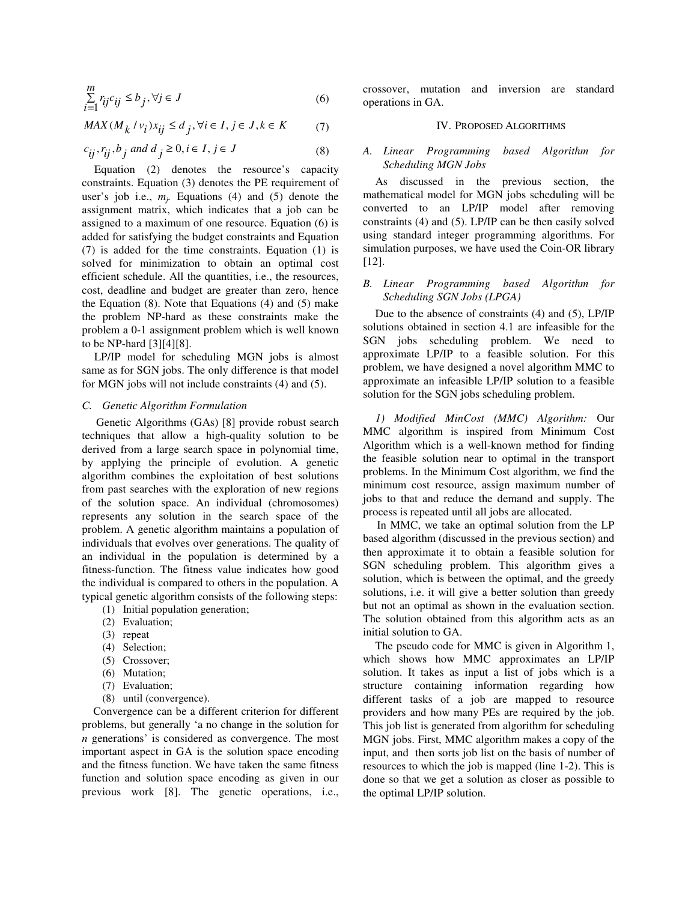$$
\sum_{i=1}^{m} r_{ij}c_{ij} \le b_j, \forall j \in J
$$
 (6)

$$
MAX(M_k / v_i)x_{ij} \le d_j, \forall i \in I, j \in J, k \in K \tag{7}
$$

$$
c_{ij}, r_{ij}, b_j \text{ and } d_j \ge 0, i \in I, j \in J
$$
\n
$$
(8)
$$

# Equation (2) denotes the resource's capacity constraints. Equation (3) denotes the PE requirement of user's job i.e.,  $m_j$ . Equations (4) and (5) denote the assignment matrix, which indicates that a job can be assigned to a maximum of one resource. Equation (6) is added for satisfying the budget constraints and Equation (7) is added for the time constraints. Equation (1) is solved for minimization to obtain an optimal cost efficient schedule. All the quantities, i.e., the resources, cost, deadline and budget are greater than zero, hence the Equation  $(8)$ . Note that Equations  $(4)$  and  $(5)$  make the problem NP-hard as these constraints make the problem a 0-1 assignment problem which is well known to be NP-hard [3][4][8].

LP/IP model for scheduling MGN jobs is almost same as for SGN jobs. The only difference is that model for MGN jobs will not include constraints (4) and (5).

# *C. Genetic Algorithm Formulation*

 Genetic Algorithms (GAs) [8] provide robust search techniques that allow a high-quality solution to be derived from a large search space in polynomial time, by applying the principle of evolution. A genetic algorithm combines the exploitation of best solutions from past searches with the exploration of new regions of the solution space. An individual (chromosomes) represents any solution in the search space of the problem. A genetic algorithm maintains a population of individuals that evolves over generations. The quality of an individual in the population is determined by a fitness-function. The fitness value indicates how good the individual is compared to others in the population. A typical genetic algorithm consists of the following steps:

- (1) Initial population generation;
- (2) Evaluation;
- (3) repeat
- (4) Selection;
- (5) Crossover;
- (6) Mutation;
- (7) Evaluation;
- (8) until (convergence).

 Convergence can be a different criterion for different problems, but generally 'a no change in the solution for *n* generations' is considered as convergence. The most important aspect in GA is the solution space encoding and the fitness function. We have taken the same fitness function and solution space encoding as given in our previous work [8]. The genetic operations, i.e.,

crossover, mutation and inversion are standard operations in GA.

## IV. PROPOSED ALGORITHMS

# *A. Linear Programming based Algorithm for Scheduling MGN Jobs*

As discussed in the previous section, the mathematical model for MGN jobs scheduling will be converted to an LP/IP model after removing constraints (4) and (5). LP/IP can be then easily solved using standard integer programming algorithms. For simulation purposes, we have used the Coin-OR library [12].

## *B. Linear Programming based Algorithm for Scheduling SGN Jobs (LPGA)*

Due to the absence of constraints (4) and (5), LP/IP solutions obtained in section 4.1 are infeasible for the SGN jobs scheduling problem. We need to approximate LP/IP to a feasible solution. For this problem, we have designed a novel algorithm MMC to approximate an infeasible LP/IP solution to a feasible solution for the SGN jobs scheduling problem.

*1) Modified MinCost (MMC) Algorithm:* Our MMC algorithm is inspired from Minimum Cost Algorithm which is a well-known method for finding the feasible solution near to optimal in the transport problems. In the Minimum Cost algorithm, we find the minimum cost resource, assign maximum number of jobs to that and reduce the demand and supply. The process is repeated until all jobs are allocated.

In MMC, we take an optimal solution from the LP based algorithm (discussed in the previous section) and then approximate it to obtain a feasible solution for SGN scheduling problem. This algorithm gives a solution, which is between the optimal, and the greedy solutions, i.e. it will give a better solution than greedy but not an optimal as shown in the evaluation section. The solution obtained from this algorithm acts as an initial solution to GA.

The pseudo code for MMC is given in Algorithm 1, which shows how MMC approximates an LP/IP solution. It takes as input a list of jobs which is a structure containing information regarding how different tasks of a job are mapped to resource providers and how many PEs are required by the job. This job list is generated from algorithm for scheduling MGN jobs. First, MMC algorithm makes a copy of the input, and then sorts job list on the basis of number of resources to which the job is mapped (line 1-2). This is done so that we get a solution as closer as possible to the optimal LP/IP solution.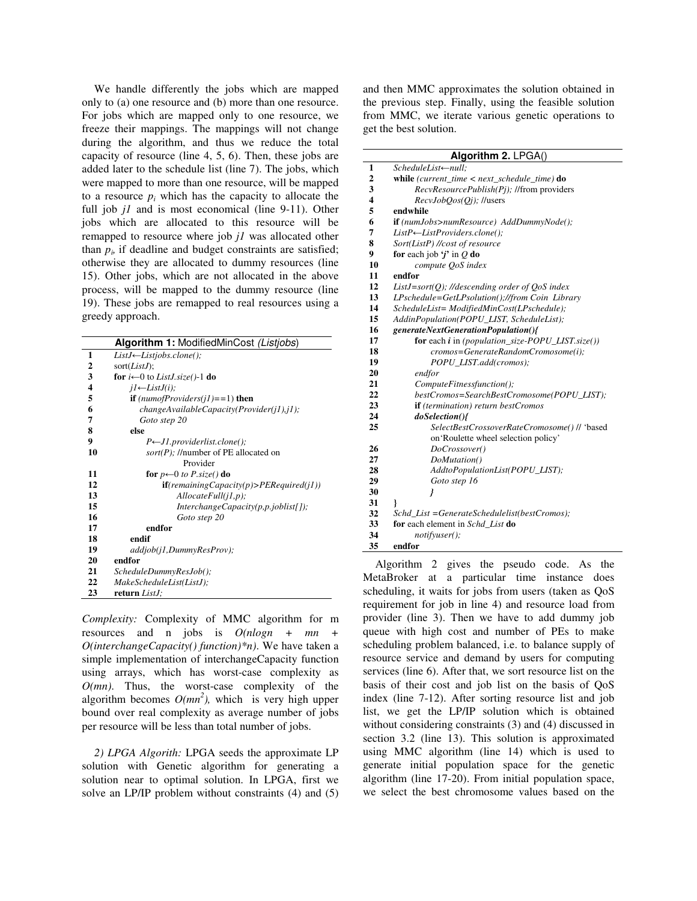We handle differently the jobs which are mapped only to (a) one resource and (b) more than one resource. For jobs which are mapped only to one resource, we freeze their mappings. The mappings will not change during the algorithm, and thus we reduce the total capacity of resource (line 4, 5, 6). Then, these jobs are added later to the schedule list (line 7). The jobs, which were mapped to more than one resource, will be mapped to a resource  $p_i$  which has the capacity to allocate the full job *jl* and is most economical (line 9-11). Other jobs which are allocated to this resource will be remapped to resource where job *j1* was allocated other than  $p_i$ , if deadline and budget constraints are satisfied; otherwise they are allocated to dummy resources (line 15). Other jobs, which are not allocated in the above process, will be mapped to the dummy resource (line 19). These jobs are remapped to real resources using a greedy approach.

| Algorithm 1: ModifiedMinCost (Listjobs) |                                                   |  |  |  |  |
|-----------------------------------------|---------------------------------------------------|--|--|--|--|
| 1                                       | $ListJ \leftarrow List jobs.close();$             |  |  |  |  |
| 2                                       | sort $(ListJ);$                                   |  |  |  |  |
| 3                                       | for $i \leftarrow 0$ to <i>ListJ.size</i> ()-1 do |  |  |  |  |
| 4                                       | $i1 \leftarrow ListJ(i);$                         |  |  |  |  |
| 5                                       | if $(numofProvides(j1)=1)$ then                   |  |  |  |  |
| 6                                       | $changeAvailable Capacity (Provider(j1), j1);$    |  |  |  |  |
| 7                                       | Goto step 20                                      |  |  |  |  |
| 8                                       | else                                              |  |  |  |  |
| 9                                       | $P \leftarrow J1$ .providerlist.clone();          |  |  |  |  |
| 10                                      | sort(P); //number of PE allocated on              |  |  |  |  |
|                                         | Provider                                          |  |  |  |  |
| 11                                      | for $p \leftarrow 0$ to P.size() do               |  |  |  |  |
| 12                                      | $if(remaining Capacity(p) > PERequired(j1))$      |  |  |  |  |
| 13                                      | $\textit{AllocateFull}(j1,p);$                    |  |  |  |  |
| 15                                      | $Interchange Capacity(p, p, joblist[])$ ;         |  |  |  |  |
| 16                                      | Goto step 20                                      |  |  |  |  |
| 17                                      | endfor                                            |  |  |  |  |
| 18                                      | endif                                             |  |  |  |  |
| 19                                      | addjob(i1, DummyResProv);                         |  |  |  |  |
| 20                                      | endfor                                            |  |  |  |  |
| 21                                      | ScheduleDummyResJob();                            |  |  |  |  |
| 22                                      | MakeScheduleList(ListJ);                          |  |  |  |  |
| 23                                      | return ListJ;                                     |  |  |  |  |

*Complexity:* Complexity of MMC algorithm for m resources and n jobs is *O(nlogn + mn + O(interchangeCapacity() function)\*n)*. We have taken a simple implementation of interchangeCapacity function using arrays, which has worst-case complexity as *O(mn)*. Thus, the worst-case complexity of the algorithm becomes  $O(mn^2)$ , which is very high upper bound over real complexity as average number of jobs per resource will be less than total number of jobs.

*2) LPGA Algorith:* LPGA seeds the approximate LP solution with Genetic algorithm for generating a solution near to optimal solution. In LPGA, first we solve an LP/IP problem without constraints (4) and (5) and then MMC approximates the solution obtained in the previous step. Finally, using the feasible solution from MMC, we iterate various genetic operations to get the best solution.

| Algorithm 2. LPGA() |                                                                  |  |  |  |  |
|---------------------|------------------------------------------------------------------|--|--|--|--|
| 1                   | ScheduleList-null;                                               |  |  |  |  |
| $\overline{2}$      | while (current time $\langle$ next schedule time) do             |  |  |  |  |
| 3                   | RecvResourcePublish(Pj); //from providers                        |  |  |  |  |
| 4                   | $RecvJobQos(Qi);$ //users                                        |  |  |  |  |
| 5                   | endwhile                                                         |  |  |  |  |
| 6                   | <b>if</b> (numJobs>numResource) AddDummyNode();                  |  |  |  |  |
| 7                   | $ListP \leftarrow ListProvides.close();$                         |  |  |  |  |
| 8                   | Sort(ListP) //cost of resource                                   |  |  |  |  |
| 9                   | for each job $\mathbf{\hat{j}}$ in $\mathbf{\hat{Q}}$ do         |  |  |  |  |
| 10                  | compute OoS index                                                |  |  |  |  |
| 11                  | endfor                                                           |  |  |  |  |
| 12                  | ListJ=sort(Q); //descending order of $QoS$ index                 |  |  |  |  |
| 13                  | LPschedule=GetLPsolution();//from Coin Library                   |  |  |  |  |
| 14                  | ScheduleList= ModifiedMinCost(LPschedule);                       |  |  |  |  |
| 15                  | AddinPopulation(POPU_LIST, ScheduleList);                        |  |  |  |  |
| 16                  | generateNextGenerationPopulation(){                              |  |  |  |  |
| 17                  | for each <i>i</i> in ( <i>population_size-POPU_LIST.size</i> ()) |  |  |  |  |
| 18                  | cromos=GenerateRandomCromosome(i);                               |  |  |  |  |
| 19                  | POPU LIST.add(cromos);                                           |  |  |  |  |
| 20                  | endfor                                                           |  |  |  |  |
| 21                  | ComputeFitnessfunction();                                        |  |  |  |  |
| 22                  | bestCromos=SearchBestCromosome(POPU LIST);                       |  |  |  |  |
| 23                  | if (termination) return bestCromos                               |  |  |  |  |
| 24                  | doSelection(){                                                   |  |  |  |  |
| 25                  | SelectBestCrossoverRateCromosome() // 'based                     |  |  |  |  |
|                     | on 'Roulette wheel selection policy'                             |  |  |  |  |
| 26                  | DoCrossover()                                                    |  |  |  |  |
| 27                  | DoMutation()                                                     |  |  |  |  |
| 28                  | AddtoPopulationList(POPU_LIST);                                  |  |  |  |  |
| 29                  | Goto step 16                                                     |  |  |  |  |
| 30                  | 1                                                                |  |  |  |  |
| 31                  | ł                                                                |  |  |  |  |
| 32                  | Schd_List =GenerateSchedulelist(bestCromos);                     |  |  |  |  |
| 33                  | for each element in Schd List do                                 |  |  |  |  |
| 34                  | notifyuser();                                                    |  |  |  |  |
| 35                  | endfor                                                           |  |  |  |  |

Algorithm 2 gives the pseudo code. As the MetaBroker at a particular time instance does scheduling, it waits for jobs from users (taken as QoS requirement for job in line 4) and resource load from provider (line 3). Then we have to add dummy job queue with high cost and number of PEs to make scheduling problem balanced, i.e. to balance supply of resource service and demand by users for computing services (line 6). After that, we sort resource list on the basis of their cost and job list on the basis of QoS index (line 7-12). After sorting resource list and job list, we get the LP/IP solution which is obtained without considering constraints (3) and (4) discussed in section 3.2 (line 13). This solution is approximated using MMC algorithm (line 14) which is used to generate initial population space for the genetic algorithm (line 17-20). From initial population space, we select the best chromosome values based on the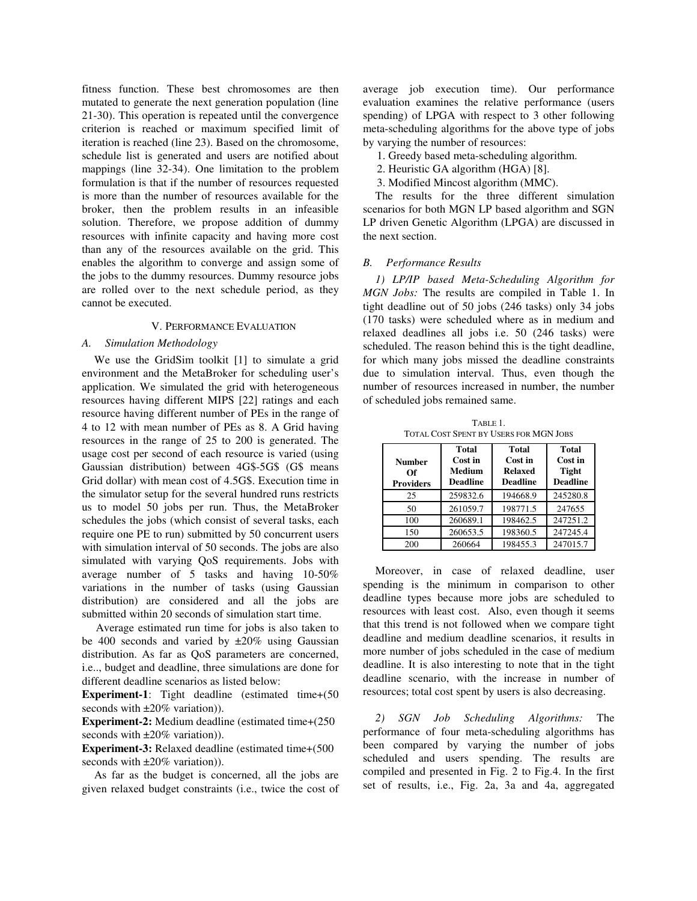fitness function. These best chromosomes are then mutated to generate the next generation population (line 21-30). This operation is repeated until the convergence criterion is reached or maximum specified limit of iteration is reached (line 23). Based on the chromosome, schedule list is generated and users are notified about mappings (line 32-34). One limitation to the problem formulation is that if the number of resources requested is more than the number of resources available for the broker, then the problem results in an infeasible solution. Therefore, we propose addition of dummy resources with infinite capacity and having more cost than any of the resources available on the grid. This enables the algorithm to converge and assign some of the jobs to the dummy resources. Dummy resource jobs are rolled over to the next schedule period, as they cannot be executed.

#### V. PERFORMANCE EVALUATION

## *A. Simulation Methodology*

We use the GridSim toolkit [1] to simulate a grid environment and the MetaBroker for scheduling user's application. We simulated the grid with heterogeneous resources having different MIPS [22] ratings and each resource having different number of PEs in the range of 4 to 12 with mean number of PEs as 8. A Grid having resources in the range of 25 to 200 is generated. The usage cost per second of each resource is varied (using Gaussian distribution) between 4G\$-5G\$ (G\$ means Grid dollar) with mean cost of 4.5G\$. Execution time in the simulator setup for the several hundred runs restricts us to model 50 jobs per run. Thus, the MetaBroker schedules the jobs (which consist of several tasks, each require one PE to run) submitted by 50 concurrent users with simulation interval of 50 seconds. The jobs are also simulated with varying QoS requirements. Jobs with average number of 5 tasks and having 10-50% variations in the number of tasks (using Gaussian distribution) are considered and all the jobs are submitted within 20 seconds of simulation start time.

Average estimated run time for jobs is also taken to be 400 seconds and varied by  $\pm 20\%$  using Gaussian distribution. As far as QoS parameters are concerned, i.e.., budget and deadline, three simulations are done for different deadline scenarios as listed below:

**Experiment-1**: Tight deadline (estimated time+(50 seconds with  $\pm 20\%$  variation)).

**Experiment-2:** Medium deadline (estimated time+(250 seconds with  $\pm 20\%$  variation)).

**Experiment-3:** Relaxed deadline (estimated time+(500 seconds with  $\pm 20\%$  variation)).

As far as the budget is concerned, all the jobs are given relaxed budget constraints (i.e., twice the cost of average job execution time). Our performance evaluation examines the relative performance (users spending) of LPGA with respect to 3 other following meta-scheduling algorithms for the above type of jobs by varying the number of resources:

1. Greedy based meta-scheduling algorithm.

- 2. Heuristic GA algorithm (HGA) [8].
- 3. Modified Mincost algorithm (MMC).

The results for the three different simulation scenarios for both MGN LP based algorithm and SGN LP driven Genetic Algorithm (LPGA) are discussed in the next section.

## *B. Performance Results*

*1) LP/IP based Meta-Scheduling Algorithm for MGN Jobs:* The results are compiled in Table 1. In tight deadline out of 50 jobs (246 tasks) only 34 jobs (170 tasks) were scheduled where as in medium and relaxed deadlines all jobs i.e. 50 (246 tasks) were scheduled. The reason behind this is the tight deadline, for which many jobs missed the deadline constraints due to simulation interval. Thus, even though the number of resources increased in number, the number of scheduled jobs remained same.

TABLE 1. TOTAL COST SPENT BY USERS FOR MGN JOBS

| <b>Number</b><br>Оf<br><b>Providers</b> | Total<br>Cost in<br><b>Medium</b><br><b>Deadline</b> | <b>Total</b><br>Cost in<br><b>Relaxed</b><br><b>Deadline</b> | Total<br>Cost in<br><b>Tight</b><br><b>Deadline</b> |
|-----------------------------------------|------------------------------------------------------|--------------------------------------------------------------|-----------------------------------------------------|
| 25                                      | 259832.6                                             | 194668.9                                                     | 245280.8                                            |
| 50                                      | 261059.7                                             | 198771.5                                                     | 247655                                              |
| 100                                     | 260689.1                                             | 198462.5                                                     | 247251.2                                            |
| 150                                     | 260653.5                                             | 198360.5                                                     | 247245.4                                            |
| 200                                     | 260664                                               | 198455.3                                                     | 247015.7                                            |

Moreover, in case of relaxed deadline, user spending is the minimum in comparison to other deadline types because more jobs are scheduled to resources with least cost. Also, even though it seems that this trend is not followed when we compare tight deadline and medium deadline scenarios, it results in more number of jobs scheduled in the case of medium deadline. It is also interesting to note that in the tight deadline scenario, with the increase in number of resources; total cost spent by users is also decreasing.

*2) SGN Job Scheduling Algorithms:* The performance of four meta-scheduling algorithms has been compared by varying the number of jobs scheduled and users spending. The results are compiled and presented in Fig. 2 to Fig.4. In the first set of results, i.e., Fig. 2a, 3a and 4a, aggregated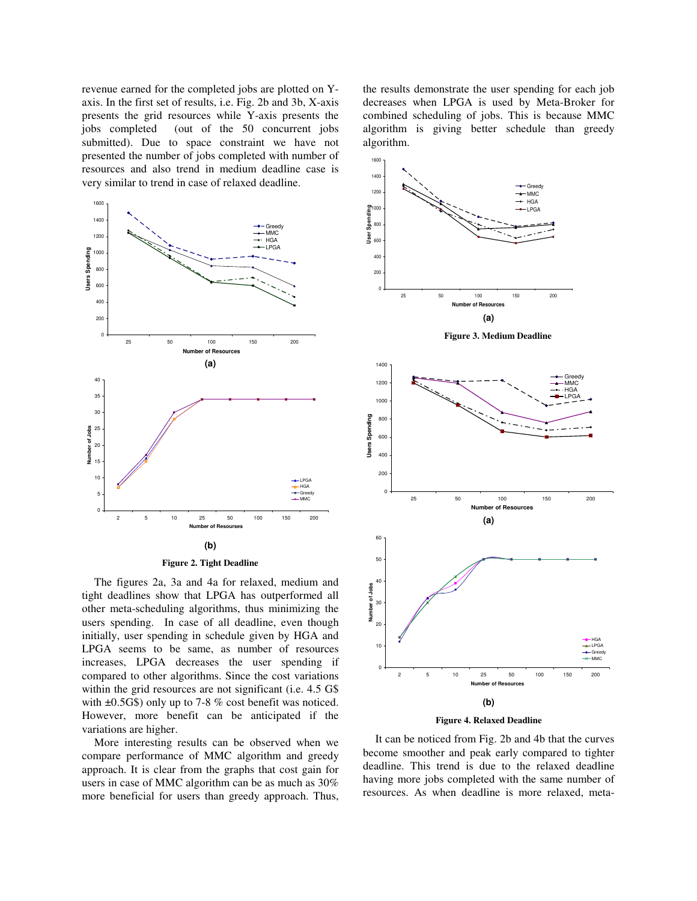revenue earned for the completed jobs are plotted on Yaxis. In the first set of results, i.e. Fig. 2b and 3b, X-axis presents the grid resources while Y-axis presents the jobs completed (out of the 50 concurrent jobs submitted). Due to space constraint we have not presented the number of jobs completed with number of resources and also trend in medium deadline case is very similar to trend in case of relaxed deadline.





The figures 2a, 3a and 4a for relaxed, medium and tight deadlines show that LPGA has outperformed all other meta-scheduling algorithms, thus minimizing the users spending. In case of all deadline, even though initially, user spending in schedule given by HGA and LPGA seems to be same, as number of resources increases, LPGA decreases the user spending if compared to other algorithms. Since the cost variations within the grid resources are not significant (i.e. 4.5 G\$ with  $\pm 0.5$ G\$) only up to 7-8 % cost benefit was noticed. However, more benefit can be anticipated if the variations are higher.

More interesting results can be observed when we compare performance of MMC algorithm and greedy approach. It is clear from the graphs that cost gain for users in case of MMC algorithm can be as much as 30% more beneficial for users than greedy approach. Thus,

the results demonstrate the user spending for each job decreases when LPGA is used by Meta-Broker for combined scheduling of jobs. This is because MMC algorithm is giving better schedule than greedy algorithm.





It can be noticed from Fig. 2b and 4b that the curves become smoother and peak early compared to tighter deadline. This trend is due to the relaxed deadline having more jobs completed with the same number of resources. As when deadline is more relaxed, meta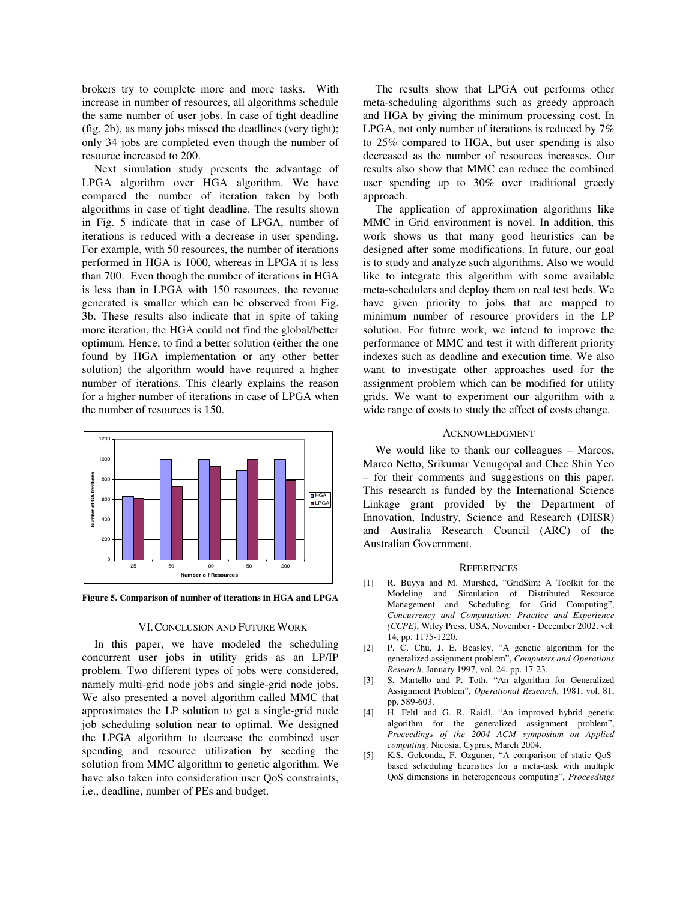brokers try to complete more and more tasks. With increase in number of resources, all algorithms schedule the same number of user jobs. In case of tight deadline (fig. 2b), as many jobs missed the deadlines (very tight); only 34 jobs are completed even though the number of resource increased to 200.

Next simulation study presents the advantage of LPGA algorithm over HGA algorithm. We have compared the number of iteration taken by both algorithms in case of tight deadline. The results shown in Fig. 5 indicate that in case of LPGA, number of iterations is reduced with a decrease in user spending. For example, with 50 resources, the number of iterations performed in HGA is 1000, whereas in LPGA it is less than 700. Even though the number of iterations in HGA is less than in LPGA with 150 resources, the revenue generated is smaller which can be observed from Fig. 3b. These results also indicate that in spite of taking more iteration, the HGA could not find the global/better optimum. Hence, to find a better solution (either the one found by HGA implementation or any other better solution) the algorithm would have required a higher number of iterations. This clearly explains the reason for a higher number of iterations in case of LPGA when the number of resources is 150.



**Figure 5. Comparison of number of iterations in HGA and LPGA**

#### VI.CONCLUSION AND FUTURE WORK

In this paper, we have modeled the scheduling concurrent user jobs in utility grids as an LP/IP problem. Two different types of jobs were considered, namely multi-grid node jobs and single-grid node jobs. We also presented a novel algorithm called MMC that approximates the LP solution to get a single-grid node job scheduling solution near to optimal. We designed the LPGA algorithm to decrease the combined user spending and resource utilization by seeding the solution from MMC algorithm to genetic algorithm. We have also taken into consideration user QoS constraints, i.e., deadline, number of PEs and budget.

The results show that LPGA out performs other meta-scheduling algorithms such as greedy approach and HGA by giving the minimum processing cost. In LPGA, not only number of iterations is reduced by 7% to 25% compared to HGA, but user spending is also decreased as the number of resources increases. Our results also show that MMC can reduce the combined user spending up to 30% over traditional greedy approach.

The application of approximation algorithms like MMC in Grid environment is novel. In addition, this work shows us that many good heuristics can be designed after some modifications. In future, our goal is to study and analyze such algorithms. Also we would like to integrate this algorithm with some available meta-schedulers and deploy them on real test beds. We have given priority to jobs that are mapped to minimum number of resource providers in the LP solution. For future work, we intend to improve the performance of MMC and test it with different priority indexes such as deadline and execution time. We also want to investigate other approaches used for the assignment problem which can be modified for utility grids. We want to experiment our algorithm with a wide range of costs to study the effect of costs change.

#### ACKNOWLEDGMENT

We would like to thank our colleagues – Marcos, Marco Netto, Srikumar Venugopal and Chee Shin Yeo – for their comments and suggestions on this paper. This research is funded by the International Science Linkage grant provided by the Department of Innovation, Industry, Science and Research (DIISR) and Australia Research Council (ARC) of the Australian Government.

#### **REFERENCES**

- [1] R. Buyya and M. Murshed, "GridSim: A Toolkit for the Modeling and Simulation of Distributed Resource Management and Scheduling for Grid Computing", *Concurrency and Computation: Practice and Experience (CCPE)*, Wiley Press, USA, November - December 2002, vol. 14, pp. 1175-1220.
- [2] P. C. Chu, J. E. Beasley, "A genetic algorithm for the generalized assignment problem", *Computers and Operations Research,* January 1997, vol. 24, pp. 17-23.
- [3] S. Martello and P. Toth, "An algorithm for Generalized Assignment Problem", *Operational Research,* 1981, vol. 81, pp. 589-603.
- [4] H. Feltl and G. R. Raidl, "An improved hybrid genetic algorithm for the generalized assignment problem", *Proceedings of the 2004 ACM symposium on Applied computing,* Nicosia, Cyprus, March 2004.
- [5] K.S. Golconda, F. Ozguner, "A comparison of static QoSbased scheduling heuristics for a meta-task with multiple QoS dimensions in heterogeneous computing", *Proceedings*